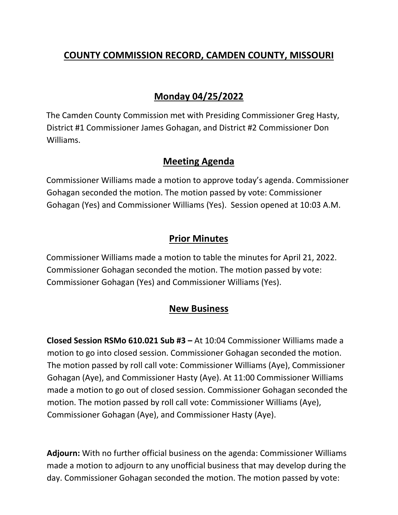# **COUNTY COMMISSION RECORD, CAMDEN COUNTY, MISSOURI**

# **Monday 04/25/2022**

The Camden County Commission met with Presiding Commissioner Greg Hasty, District #1 Commissioner James Gohagan, and District #2 Commissioner Don Williams.

## **Meeting Agenda**

Commissioner Williams made a motion to approve today's agenda. Commissioner Gohagan seconded the motion. The motion passed by vote: Commissioner Gohagan (Yes) and Commissioner Williams (Yes). Session opened at 10:03 A.M.

## **Prior Minutes**

Commissioner Williams made a motion to table the minutes for April 21, 2022. Commissioner Gohagan seconded the motion. The motion passed by vote: Commissioner Gohagan (Yes) and Commissioner Williams (Yes).

## **New Business**

**Closed Session RSMo 610.021 Sub #3 –** At 10:04 Commissioner Williams made a motion to go into closed session. Commissioner Gohagan seconded the motion. The motion passed by roll call vote: Commissioner Williams (Aye), Commissioner Gohagan (Aye), and Commissioner Hasty (Aye). At 11:00 Commissioner Williams made a motion to go out of closed session. Commissioner Gohagan seconded the motion. The motion passed by roll call vote: Commissioner Williams (Aye), Commissioner Gohagan (Aye), and Commissioner Hasty (Aye).

**Adjourn:** With no further official business on the agenda: Commissioner Williams made a motion to adjourn to any unofficial business that may develop during the day. Commissioner Gohagan seconded the motion. The motion passed by vote: